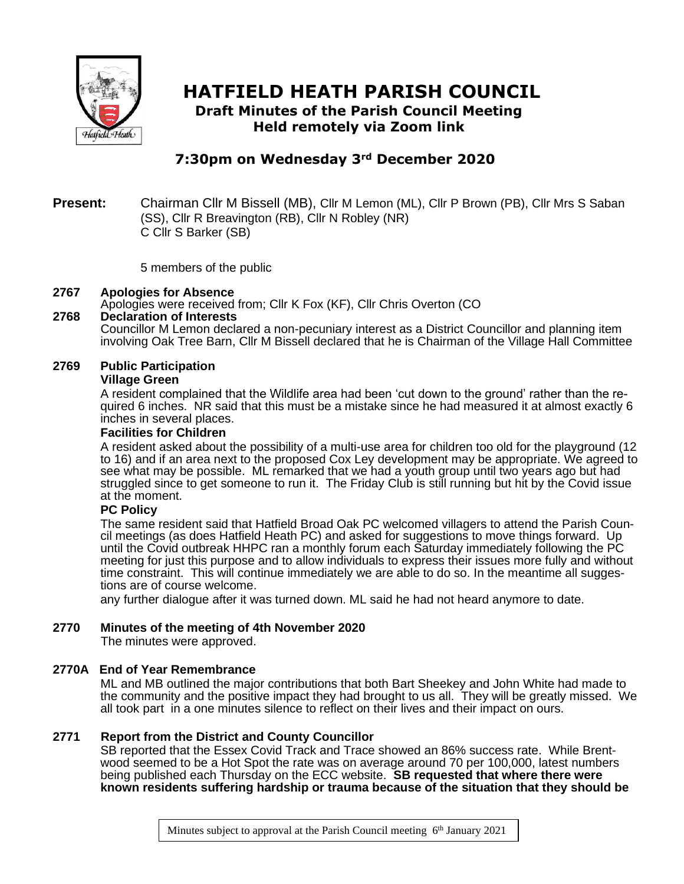

# **HATFIELD HEATH PARISH COUNCIL**

**Draft Minutes of the Parish Council Meeting Held remotely via Zoom link**

# **7:30pm on Wednesday 3rd December 2020**

#### **Present:** Chairman Cllr M Bissell (MB), Cllr M Lemon (ML), Cllr P Brown (PB), Cllr Mrs S Saban (SS), Cllr R Breavington (RB), Cllr N Robley (NR) C Cllr S Barker (SB)

5 members of the public

#### **2767 Apologies for Absence**

Apologies were received from; Cllr K Fox (KF), Cllr Chris Overton (CO

#### **2768 Declaration of Interests**

Councillor M Lemon declared a non-pecuniary interest as a District Councillor and planning item involving Oak Tree Barn, Cllr M Bissell declared that he is Chairman of the Village Hall Committee

#### **2769 Public Participation**

#### **Village Green**

A resident complained that the Wildlife area had been 'cut down to the ground' rather than the required 6 inches. NR said that this must be a mistake since he had measured it at almost exactly 6 inches in several places.

#### **Facilities for Children**

A resident asked about the possibility of a multi-use area for children too old for the playground (12 to 16) and if an area next to the proposed Cox Ley development may be appropriate. We agreed to see what may be possible. ML remarked that we had a youth group until two years ago but had struggled since to get someone to run it. The Friday Club is still running but hit by the Covid issue at the moment.

### **PC Policy**

The same resident said that Hatfield Broad Oak PC welcomed villagers to attend the Parish Council meetings (as does Hatfield Heath PC) and asked for suggestions to move things forward. Up until the Covid outbreak HHPC ran a monthly forum each Saturday immediately following the PC meeting for just this purpose and to allow individuals to express their issues more fully and without time constraint. This will continue immediately we are able to do so. In the meantime all suggestions are of course welcome.

any further dialogue after it was turned down. ML said he had not heard anymore to date.

### **2770 Minutes of the meeting of 4th November 2020**

The minutes were approved.

### **2770A End of Year Remembrance**

ML and MB outlined the major contributions that both Bart Sheekey and John White had made to the community and the positive impact they had brought to us all. They will be greatly missed. We all took part in a one minutes silence to reflect on their lives and their impact on ours.

### **2771 Report from the District and County Councillor**

SB reported that the Essex Covid Track and Trace showed an 86% success rate. While Brentwood seemed to be a Hot Spot the rate was on average around 70 per 100,000, latest numbers being published each Thursday on the ECC website. **SB requested that where there were known residents suffering hardship or trauma because of the situation that they should be**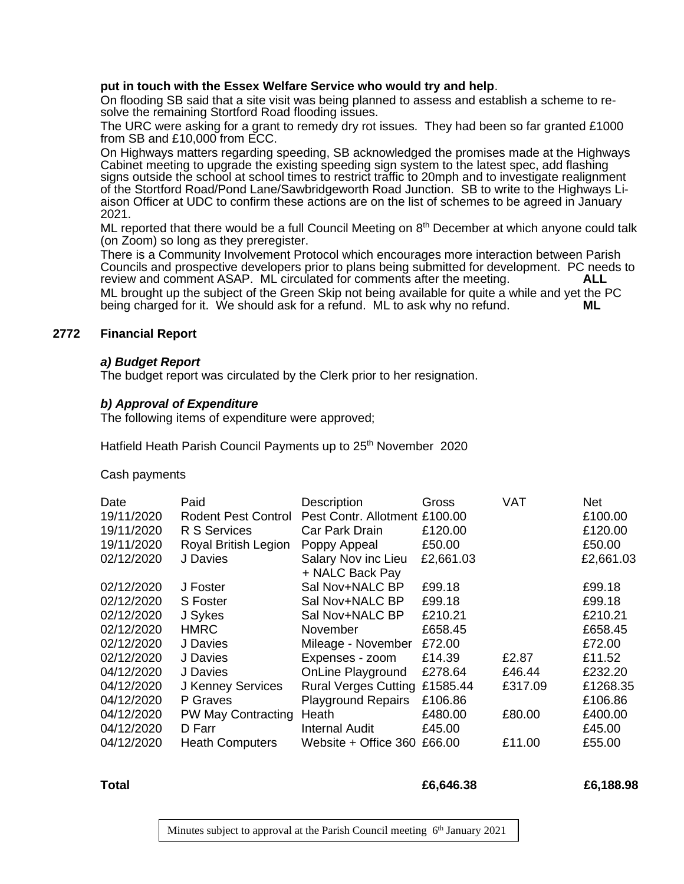#### **put in touch with the Essex Welfare Service who would try and help**.

On flooding SB said that a site visit was being planned to assess and establish a scheme to resolve the remaining Stortford Road flooding issues.

The URC were asking for a grant to remedy dry rot issues. They had been so far granted £1000 from SB and £10,000 from ECC.

On Highways matters regarding speeding, SB acknowledged the promises made at the Highways Cabinet meeting to upgrade the existing speeding sign system to the latest spec, add flashing signs outside the school at school times to restrict traffic to 20mph and to investigate realignment of the Stortford Road/Pond Lane/Sawbridgeworth Road Junction. SB to write to the Highways Liaison Officer at UDC to confirm these actions are on the list of schemes to be agreed in January 2021.

 $ML$  reported that there would be a full Council Meeting on  $8<sup>th</sup>$  December at which anyone could talk (on Zoom) so long as they preregister.

There is a Community Involvement Protocol which encourages more interaction between Parish Councils and prospective developers prior to plans being submitted for development. PC needs to review and comment ASAP. ML circulated for comments after the meeting. **ALL** ML brought up the subject of the Green Skip not being available for quite a while and yet the PC<br>being charged for it. We should ask for a refund. ML to ask why no refund. being charged for it. We should ask for a refund. ML to ask why no refund.

#### **2772 Financial Report**

#### *a) Budget Report*

The budget report was circulated by the Clerk prior to her resignation.

#### *b) Approval of Expenditure*

The following items of expenditure were approved;

Hatfield Heath Parish Council Payments up to 25<sup>th</sup> November 2020

Cash payments

| Date       | Paid                   | Description                            | Gross     | <b>VAT</b> | <b>Net</b> |
|------------|------------------------|----------------------------------------|-----------|------------|------------|
| 19/11/2020 | Rodent Pest Control    | Pest Contr. Allotment £100.00          |           |            | £100.00    |
| 19/11/2020 | R S Services           | Car Park Drain                         | £120.00   |            | £120.00    |
| 19/11/2020 | Royal British Legion   | Poppy Appeal                           | £50.00    |            | £50.00     |
| 02/12/2020 | J Davies               | Salary Nov inc Lieu<br>+ NALC Back Pay | £2,661.03 |            | £2,661.03  |
| 02/12/2020 | J Foster               | Sal Nov+NALC BP                        | £99.18    |            | £99.18     |
| 02/12/2020 | <b>S</b> Foster        | Sal Nov+NALC BP                        | £99.18    |            | £99.18     |
| 02/12/2020 | J Sykes                | Sal Nov+NALC BP                        | £210.21   |            | £210.21    |
| 02/12/2020 | <b>HMRC</b>            | November                               | £658.45   |            | £658.45    |
| 02/12/2020 | J Davies               | Mileage - November                     | £72.00    |            | £72.00     |
| 02/12/2020 | J Davies               | Expenses - zoom                        | £14.39    | £2.87      | £11.52     |
| 04/12/2020 | J Davies               | <b>OnLine Playground</b>               | £278.64   | £46.44     | £232.20    |
| 04/12/2020 | J Kenney Services      | Rural Verges Cutting £1585.44          |           | £317.09    | £1268.35   |
| 04/12/2020 | P Graves               | <b>Playground Repairs</b>              | £106.86   |            | £106.86    |
| 04/12/2020 | PW May Contracting     | Heath                                  | £480.00   | £80.00     | £400.00    |
| 04/12/2020 | D Farr                 | <b>Internal Audit</b>                  | £45.00    |            | £45.00     |
| 04/12/2020 | <b>Heath Computers</b> | Website + Office 360 £66.00            |           | £11.00     | £55.00     |

#### **Total £6,646.38 £6,188.98**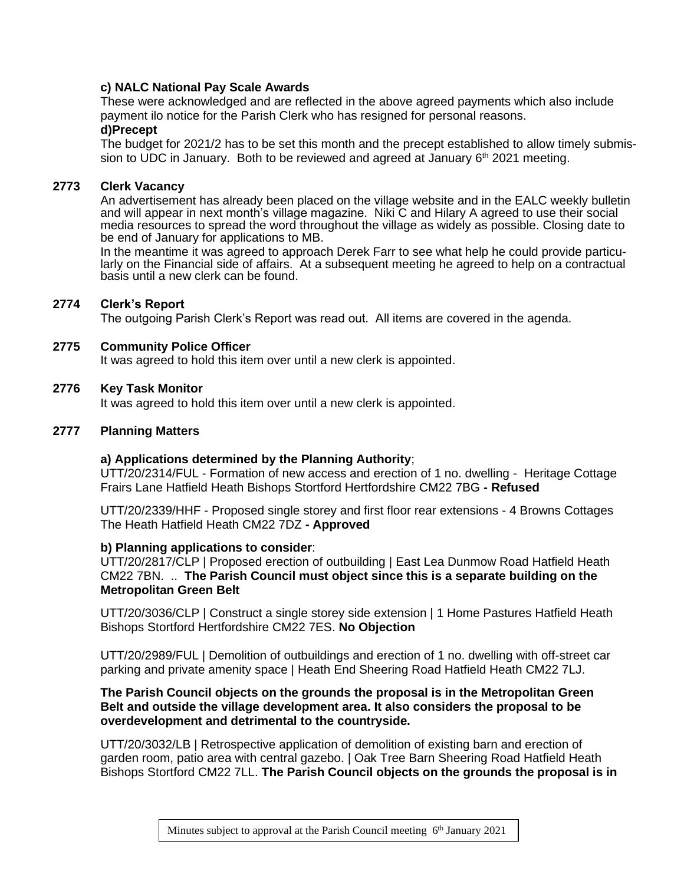### **c) NALC National Pay Scale Awards**

These were acknowledged and are reflected in the above agreed payments which also include payment ilo notice for the Parish Clerk who has resigned for personal reasons. **d)Precept**

The budget for 2021/2 has to be set this month and the precept established to allow timely submission to UDC in January. Both to be reviewed and agreed at January  $6<sup>th</sup>$  2021 meeting.

#### **2773 Clerk Vacancy**

An advertisement has already been placed on the village website and in the EALC weekly bulletin and will appear in next month's village magazine. Niki C and Hilary A agreed to use their social media resources to spread the word throughout the village as widely as possible. Closing date to be end of January for applications to MB.

In the meantime it was agreed to approach Derek Farr to see what help he could provide particularly on the Financial side of affairs. At a subsequent meeting he agreed to help on a contractual basis until a new clerk can be found.

#### **2774 Clerk's Report**

The outgoing Parish Clerk's Report was read out. All items are covered in the agenda.

#### **2775 Community Police Officer**

It was agreed to hold this item over until a new clerk is appointed.

#### **2776 Key Task Monitor**

It was agreed to hold this item over until a new clerk is appointed.

#### **2777 Planning Matters**

#### **a) Applications determined by the Planning Authority**;

UTT/20/2314/FUL - Formation of new access and erection of 1 no. dwelling - Heritage Cottage Frairs Lane Hatfield Heath Bishops Stortford Hertfordshire CM22 7BG **- Refused**

UTT/20/2339/HHF - Proposed single storey and first floor rear extensions - 4 Browns Cottages The Heath Hatfield Heath CM22 7DZ **- Approved**

#### **b) Planning applications to consider**:

UTT/20/2817/CLP | Proposed erection of outbuilding | East Lea Dunmow Road Hatfield Heath CM22 7BN. .. **The Parish Council must object since this is a separate building on the Metropolitan Green Belt**

UTT/20/3036/CLP | Construct a single storey side extension | 1 Home Pastures Hatfield Heath Bishops Stortford Hertfordshire CM22 7ES. **No Objection**

UTT/20/2989/FUL | Demolition of outbuildings and erection of 1 no. dwelling with off-street car parking and private amenity space | Heath End Sheering Road Hatfield Heath CM22 7LJ.

#### **The Parish Council objects on the grounds the proposal is in the Metropolitan Green Belt and outside the village development area. It also considers the proposal to be overdevelopment and detrimental to the countryside.**

UTT/20/3032/LB | Retrospective application of demolition of existing barn and erection of garden room, patio area with central gazebo. | Oak Tree Barn Sheering Road Hatfield Heath Bishops Stortford CM22 7LL. **The Parish Council objects on the grounds the proposal is in**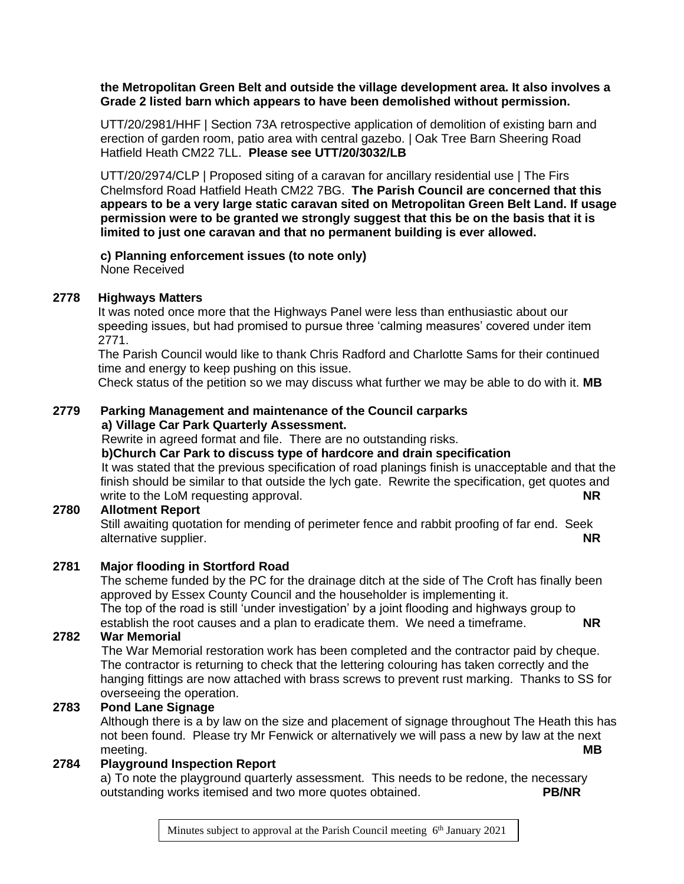#### **the Metropolitan Green Belt and outside the village development area. It also involves a Grade 2 listed barn which appears to have been demolished without permission.**

UTT/20/2981/HHF | Section 73A retrospective application of demolition of existing barn and erection of garden room, patio area with central gazebo. | Oak Tree Barn Sheering Road Hatfield Heath CM22 7LL. **Please see UTT/20/3032/LB**

UTT/20/2974/CLP | Proposed siting of a caravan for ancillary residential use | The Firs Chelmsford Road Hatfield Heath CM22 7BG. **The Parish Council are concerned that this appears to be a very large static caravan sited on Metropolitan Green Belt Land. If usage permission were to be granted we strongly suggest that this be on the basis that it is limited to just one caravan and that no permanent building is ever allowed.**

#### **c) Planning enforcement issues (to note only)** None Received

### **2778 Highways Matters**

It was noted once more that the Highways Panel were less than enthusiastic about our speeding issues, but had promised to pursue three 'calming measures' covered under item 2771.

The Parish Council would like to thank Chris Radford and Charlotte Sams for their continued time and energy to keep pushing on this issue.

Check status of the petition so we may discuss what further we may be able to do with it. **MB**

#### **2779 Parking Management and maintenance of the Council carparks a) Village Car Park Quarterly Assessment.**

Rewrite in agreed format and file. There are no outstanding risks.

#### **b)Church Car Park to discuss type of hardcore and drain specification**

It was stated that the previous specification of road planings finish is unacceptable and that the finish should be similar to that outside the lych gate. Rewrite the specification, get quotes and write to the LoM requesting approval. **NR**

### **2780 Allotment Report**

Still awaiting quotation for mending of perimeter fence and rabbit proofing of far end. Seek alternative supplier. **NR**

### **2781 Major flooding in Stortford Road**

The scheme funded by the PC for the drainage ditch at the side of The Croft has finally been approved by Essex County Council and the householder is implementing it. The top of the road is still 'under investigation' by a joint flooding and highways group to establish the root causes and a plan to eradicate them. We need a timeframe. **NR**

#### **2782 War Memorial**

The War Memorial restoration work has been completed and the contractor paid by cheque. The contractor is returning to check that the lettering colouring has taken correctly and the hanging fittings are now attached with brass screws to prevent rust marking. Thanks to SS for overseeing the operation.

### **2783 Pond Lane Signage**

Although there is a by law on the size and placement of signage throughout The Heath this has not been found. Please try Mr Fenwick or alternatively we will pass a new by law at the next meeting. **MB**

### **2784 Playground Inspection Report**

a) To note the playground quarterly assessment. This needs to be redone, the necessary outstanding works itemised and two more quotes obtained. **PB/NR**